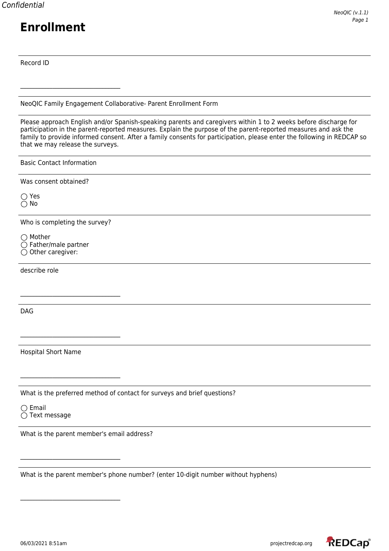Record ID

NeoQIC Family Engagement Collaborative- Parent Enrollment Form

Please approach English and/or Spanish-speaking parents and caregivers within 1 to 2 weeks before discharge for participation in the parent-reported measures. Explain the purpose of the parent-reported measures and ask the family to provide informed consent. After a family consents for participation, please enter the following in REDCAP so that we may release the surveys.

Basic Contact Information

 $\mathcal{L}_\text{max}$  , where  $\mathcal{L}_\text{max}$  and  $\mathcal{L}_\text{max}$  and  $\mathcal{L}_\text{max}$ 

Was consent obtained?

◯ Yes No

Who is completing the survey?

 $\bigcirc$  Mother  $\bigcirc$  Father/male partner  $\bigcirc$  Other caregiver:

describe role

DAG

Hospital Short Name

 $\mathcal{L}_\text{max}$  , where  $\mathcal{L}_\text{max}$  and  $\mathcal{L}_\text{max}$  and  $\mathcal{L}_\text{max}$ 

 $\mathcal{L}_\text{max}$  , where  $\mathcal{L}_\text{max}$  and  $\mathcal{L}_\text{max}$  and  $\mathcal{L}_\text{max}$ 

 $\mathcal{L}_\text{max}$  , where  $\mathcal{L}_\text{max}$  and  $\mathcal{L}_\text{max}$  and  $\mathcal{L}_\text{max}$ 

 $\mathcal{L}_\text{max}$  , where  $\mathcal{L}_\text{max}$  and  $\mathcal{L}_\text{max}$  and  $\mathcal{L}_\text{max}$ 

What is the preferred method of contact for surveys and brief questions?

 $\bigcirc$  Email  $\bigcirc$  Text message

What is the parent member's email address?

What is the parent member's phone number? (enter 10-digit number without hyphens)